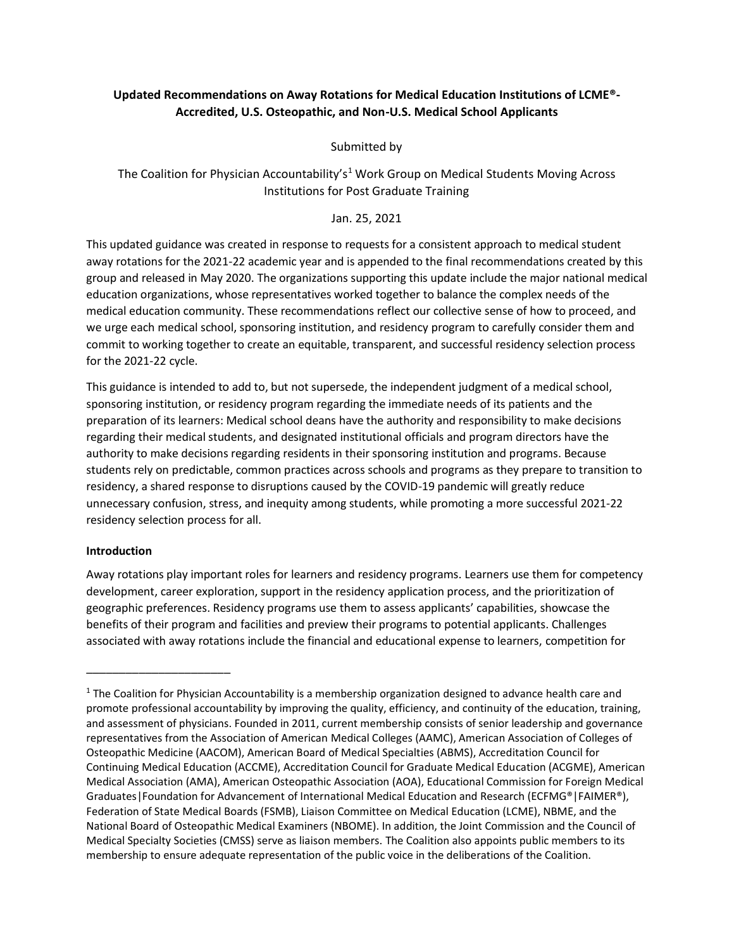# **Updated Recommendations on Away Rotations for Medical Education Institutions of LCME®- Accredited, U.S. Osteopathic, and Non-U.S. Medical School Applicants**

Submitted by

# The Coalition for Physician Accountability's<sup>1</sup> Work Group on Medical Students Moving Across Institutions for Post Graduate Training

### Jan. 25, 2021

This updated guidance was created in response to requests for a consistent approach to medical student away rotations for the 2021-22 academic year and is appended to the final recommendations created by this group and released in May 2020. The organizations supporting this update include the major national medical education organizations, whose representatives worked together to balance the complex needs of the medical education community. These recommendations reflect our collective sense of how to proceed, and we urge each medical school, sponsoring institution, and residency program to carefully consider them and commit to working together to create an equitable, transparent, and successful residency selection process for the 2021-22 cycle.

This guidance is intended to add to, but not supersede, the independent judgment of a medical school, sponsoring institution, or residency program regarding the immediate needs of its patients and the preparation of its learners: Medical school deans have the authority and responsibility to make decisions regarding their medical students, and designated institutional officials and program directors have the authority to make decisions regarding residents in their sponsoring institution and programs. Because students rely on predictable, common practices across schools and programs as they prepare to transition to residency, a shared response to disruptions caused by the COVID-19 pandemic will greatly reduce unnecessary confusion, stress, and inequity among students, while promoting a more successful 2021-22 residency selection process for all.

#### **Introduction**

\_\_\_\_\_\_\_\_\_\_\_\_\_\_\_\_\_\_\_\_\_\_

Away rotations play important roles for learners and residency programs. Learners use them for competency development, career exploration, support in the residency application process, and the prioritization of geographic preferences. Residency programs use them to assess applicants' capabilities, showcase the benefits of their program and facilities and preview their programs to potential applicants. Challenges associated with away rotations include the financial and educational expense to learners, competition for

<sup>&</sup>lt;sup>1</sup> The Coalition for Physician Accountability is a membership organization designed to advance health care and promote professional accountability by improving the quality, efficiency, and continuity of the education, training, and assessment of physicians. Founded in 2011, current membership consists of senior leadership and governance representatives from the Association of American Medical Colleges (AAMC), American Association of Colleges of Osteopathic Medicine (AACOM), American Board of Medical Specialties (ABMS), Accreditation Council for Continuing Medical Education (ACCME), Accreditation Council for Graduate Medical Education (ACGME), American Medical Association (AMA), American Osteopathic Association (AOA), Educational Commission for Foreign Medical Graduates|Foundation for Advancement of International Medical Education and Research (ECFMG®|FAIMER®), Federation of State Medical Boards (FSMB), Liaison Committee on Medical Education (LCME), NBME, and the National Board of Osteopathic Medical Examiners (NBOME). In addition, the Joint Commission and the Council of Medical Specialty Societies (CMSS) serve as liaison members. The Coalition also appoints public members to its membership to ensure adequate representation of the public voice in the deliberations of the Coalition.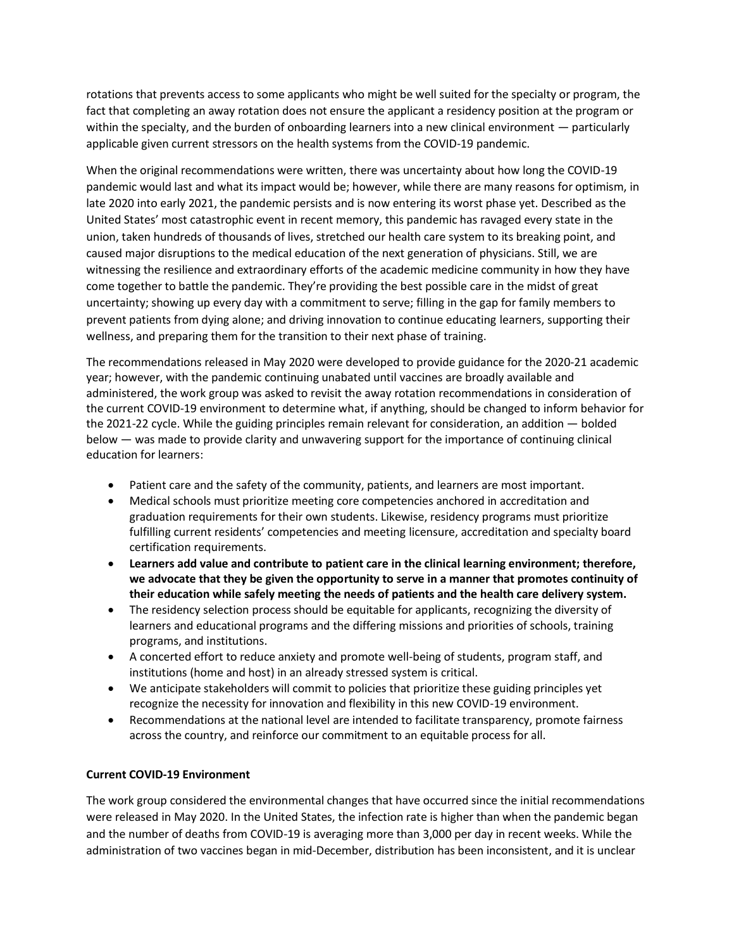rotations that prevents access to some applicants who might be well suited for the specialty or program, the fact that completing an away rotation does not ensure the applicant a residency position at the program or within the specialty, and the burden of onboarding learners into a new clinical environment — particularly applicable given current stressors on the health systems from the COVID-19 pandemic.

When the original recommendations were written, there was uncertainty about how long the COVID-19 pandemic would last and what its impact would be; however, while there are many reasons for optimism, in late 2020 into early 2021, the pandemic persists and is now entering its worst phase yet. Described as the United States' most catastrophic event in recent memory, this pandemic has ravaged every state in the union, taken hundreds of thousands of lives, stretched our health care system to its breaking point, and caused major disruptions to the medical education of the next generation of physicians. Still, we are witnessing the resilience and extraordinary efforts of the academic medicine community in how they have come together to battle the pandemic. They're providing the best possible care in the midst of great uncertainty; showing up every day with a commitment to serve; filling in the gap for family members to prevent patients from dying alone; and driving innovation to continue educating learners, supporting their wellness, and preparing them for the transition to their next phase of training.

The recommendations released in May 2020 were developed to provide guidance for the 2020-21 academic year; however, with the pandemic continuing unabated until vaccines are broadly available and administered, the work group was asked to revisit the away rotation recommendations in consideration of the current COVID-19 environment to determine what, if anything, should be changed to inform behavior for the 2021-22 cycle. While the guiding principles remain relevant for consideration, an addition — bolded below — was made to provide clarity and unwavering support for the importance of continuing clinical education for learners:

- Patient care and the safety of the community, patients, and learners are most important.
- Medical schools must prioritize meeting core competencies anchored in accreditation and graduation requirements for their own students. Likewise, residency programs must prioritize fulfilling current residents' competencies and meeting licensure, accreditation and specialty board certification requirements.
- **Learners add value and contribute to patient care in the clinical learning environment; therefore, we advocate that they be given the opportunity to serve in a manner that promotes continuity of their education while safely meeting the needs of patients and the health care delivery system.**
- The residency selection process should be equitable for applicants, recognizing the diversity of learners and educational programs and the differing missions and priorities of schools, training programs, and institutions.
- A concerted effort to reduce anxiety and promote well-being of students, program staff, and institutions (home and host) in an already stressed system is critical.
- We anticipate stakeholders will commit to policies that prioritize these guiding principles yet recognize the necessity for innovation and flexibility in this new COVID-19 environment.
- Recommendations at the national level are intended to facilitate transparency, promote fairness across the country, and reinforce our commitment to an equitable process for all.

## **Current COVID-19 Environment**

The work group considered the environmental changes that have occurred since the initial recommendations were released in May 2020. In the United States, the infection rate is higher than when the pandemic began and the number of deaths from COVID-19 is averaging more than 3,000 per day in recent weeks. While the administration of two vaccines began in mid-December, distribution has been inconsistent, and it is unclear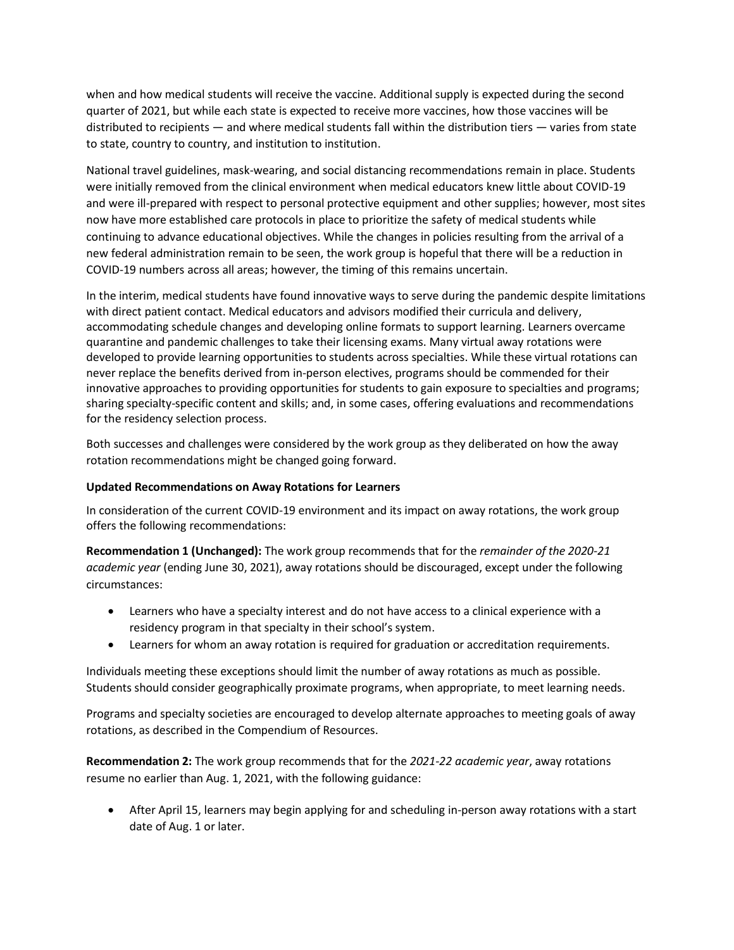when and how medical students will receive the vaccine. Additional supply is expected during the second quarter of 2021, but while each state is expected to receive more vaccines, how those vaccines will be distributed to recipients — and where medical students fall within the distribution tiers — varies from state to state, country to country, and institution to institution.

National travel guidelines, mask-wearing, and social distancing recommendations remain in place. Students were initially removed from the clinical environment when medical educators knew little about COVID-19 and were ill-prepared with respect to personal protective equipment and other supplies; however, most sites now have more established care protocols in place to prioritize the safety of medical students while continuing to advance educational objectives. While the changes in policies resulting from the arrival of a new federal administration remain to be seen, the work group is hopeful that there will be a reduction in COVID-19 numbers across all areas; however, the timing of this remains uncertain.

In the interim, medical students have found innovative ways to serve during the pandemic despite limitations with direct patient contact. Medical educators and advisors modified their curricula and delivery, accommodating schedule changes and developing online formats to support learning. Learners overcame quarantine and pandemic challenges to take their licensing exams. Many virtual away rotations were developed to provide learning opportunities to students across specialties. While these virtual rotations can never replace the benefits derived from in-person electives, programs should be commended for their innovative approaches to providing opportunities for students to gain exposure to specialties and programs; sharing specialty-specific content and skills; and, in some cases, offering evaluations and recommendations for the residency selection process.

Both successes and challenges were considered by the work group as they deliberated on how the away rotation recommendations might be changed going forward.

#### **Updated Recommendations on Away Rotations for Learners**

In consideration of the current COVID-19 environment and its impact on away rotations, the work group offers the following recommendations:

**Recommendation 1 (Unchanged):** The work group recommends that for the *remainder of the 2020-21 academic year* (ending June 30, 2021), away rotations should be discouraged, except under the following circumstances:

- Learners who have a specialty interest and do not have access to a clinical experience with a residency program in that specialty in their school's system.
- Learners for whom an away rotation is required for graduation or accreditation requirements.

Individuals meeting these exceptions should limit the number of away rotations as much as possible. Students should consider geographically proximate programs, when appropriate, to meet learning needs.

Programs and specialty societies are encouraged to develop alternate approaches to meeting goals of away rotations, as described in the Compendium of Resources.

**Recommendation 2:** The work group recommends that for the *2021-22 academic year*, away rotations resume no earlier than Aug. 1, 2021, with the following guidance:

• After April 15, learners may begin applying for and scheduling in-person away rotations with a start date of Aug. 1 or later.